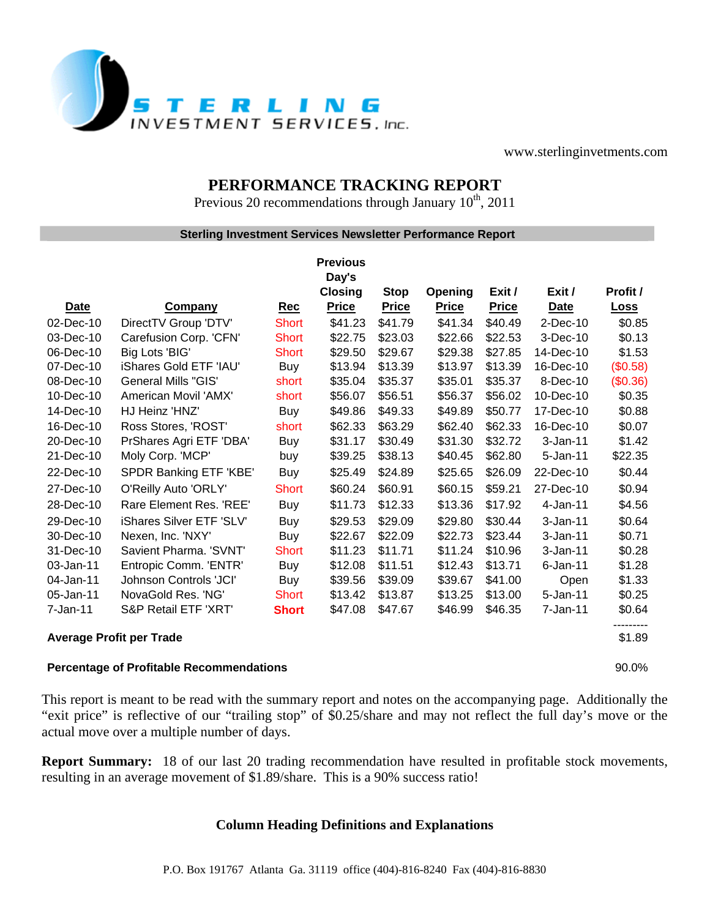

www.sterlinginvetments.com

## **PERFORMANCE TRACKING REPORT**

Previous 20 recommendations through January  $10^{th}$ , 2011

## **Sterling Investment Services Newsletter Performance Report**

|                                                 |                            |              | <b>Previous</b> |              |              |              |              |             |
|-------------------------------------------------|----------------------------|--------------|-----------------|--------------|--------------|--------------|--------------|-------------|
|                                                 |                            |              | Day's           |              |              |              |              |             |
|                                                 |                            |              | <b>Closing</b>  | <b>Stop</b>  | Opening      | Exit /       | Exit /       | Profit /    |
| Date                                            | <b>Company</b>             | Rec          | <b>Price</b>    | <b>Price</b> | <b>Price</b> | <b>Price</b> | Date         | <b>Loss</b> |
| 02-Dec-10                                       | DirectTV Group 'DTV'       | <b>Short</b> | \$41.23         | \$41.79      | \$41.34      | \$40.49      | $2$ -Dec-10  | \$0.85      |
| 03-Dec-10                                       | Carefusion Corp. 'CFN'     | <b>Short</b> | \$22.75         | \$23.03      | \$22.66      | \$22.53      | 3-Dec-10     | \$0.13      |
| 06-Dec-10                                       | Big Lots 'BIG'             | <b>Short</b> | \$29.50         | \$29.67      | \$29.38      | \$27.85      | 14-Dec-10    | \$1.53      |
| 07-Dec-10                                       | iShares Gold ETF 'IAU'     | Buy          | \$13.94         | \$13.39      | \$13.97      | \$13.39      | 16-Dec-10    | (\$0.58)    |
| 08-Dec-10                                       | <b>General Mills "GIS"</b> | short        | \$35.04         | \$35.37      | \$35.01      | \$35.37      | 8-Dec-10     | (\$0.36)    |
| 10-Dec-10                                       | American Movil 'AMX'       | short        | \$56.07         | \$56.51      | \$56.37      | \$56.02      | 10-Dec-10    | \$0.35      |
| 14-Dec-10                                       | HJ Heinz 'HNZ'             | Buy          | \$49.86         | \$49.33      | \$49.89      | \$50.77      | 17-Dec-10    | \$0.88      |
| 16-Dec-10                                       | Ross Stores, 'ROST'        | short        | \$62.33         | \$63.29      | \$62.40      | \$62.33      | 16-Dec-10    | \$0.07      |
| 20-Dec-10                                       | PrShares Agri ETF 'DBA'    | <b>Buy</b>   | \$31.17         | \$30.49      | \$31.30      | \$32.72      | $3 - Jan-11$ | \$1.42      |
| 21-Dec-10                                       | Moly Corp. 'MCP'           | buy          | \$39.25         | \$38.13      | \$40.45      | \$62.80      | $5 - Jan-11$ | \$22.35     |
| 22-Dec-10                                       | SPDR Banking ETF 'KBE'     | <b>Buy</b>   | \$25.49         | \$24.89      | \$25.65      | \$26.09      | 22-Dec-10    | \$0.44      |
| 27-Dec-10                                       | O'Reilly Auto 'ORLY'       | Short        | \$60.24         | \$60.91      | \$60.15      | \$59.21      | 27-Dec-10    | \$0.94      |
| 28-Dec-10                                       | Rare Element Res. 'REE'    | Buy          | \$11.73         | \$12.33      | \$13.36      | \$17.92      | $4-Jan-11$   | \$4.56      |
| 29-Dec-10                                       | iShares Silver ETF 'SLV'   | Buy          | \$29.53         | \$29.09      | \$29.80      | \$30.44      | $3-Jan-11$   | \$0.64      |
| 30-Dec-10                                       | Nexen, Inc. 'NXY'          | Buy          | \$22.67         | \$22.09      | \$22.73      | \$23.44      | $3-Jan-11$   | \$0.71      |
| 31-Dec-10                                       | Savient Pharma. 'SVNT'     | <b>Short</b> | \$11.23         | \$11.71      | \$11.24      | \$10.96      | $3-Jan-11$   | \$0.28      |
| 03-Jan-11                                       | Entropic Comm. 'ENTR'      | Buy          | \$12.08         | \$11.51      | \$12.43      | \$13.71      | $6$ -Jan-11  | \$1.28      |
| 04-Jan-11                                       | Johnson Controls 'JCI'     | Buy          | \$39.56         | \$39.09      | \$39.67      | \$41.00      | Open         | \$1.33      |
| 05-Jan-11                                       | NovaGold Res. 'NG'         | <b>Short</b> | \$13.42         | \$13.87      | \$13.25      | \$13.00      | 5-Jan-11     | \$0.25      |
| 7-Jan-11                                        | S&P Retail ETF 'XRT'       | <b>Short</b> | \$47.08         | \$47.67      | \$46.99      | \$46.35      | 7-Jan-11     | \$0.64      |
| <b>Average Profit per Trade</b>                 |                            |              |                 |              |              |              |              | \$1.89      |
| <b>Percentage of Profitable Recommendations</b> |                            |              |                 |              |              |              |              | 90.0%       |

This report is meant to be read with the summary report and notes on the accompanying page. Additionally the "exit price" is reflective of our "trailing stop" of \$0.25/share and may not reflect the full day's move or the actual move over a multiple number of days.

**Report Summary:** 18 of our last 20 trading recommendation have resulted in profitable stock movements, resulting in an average movement of \$1.89/share. This is a 90% success ratio!

## **Column Heading Definitions and Explanations**